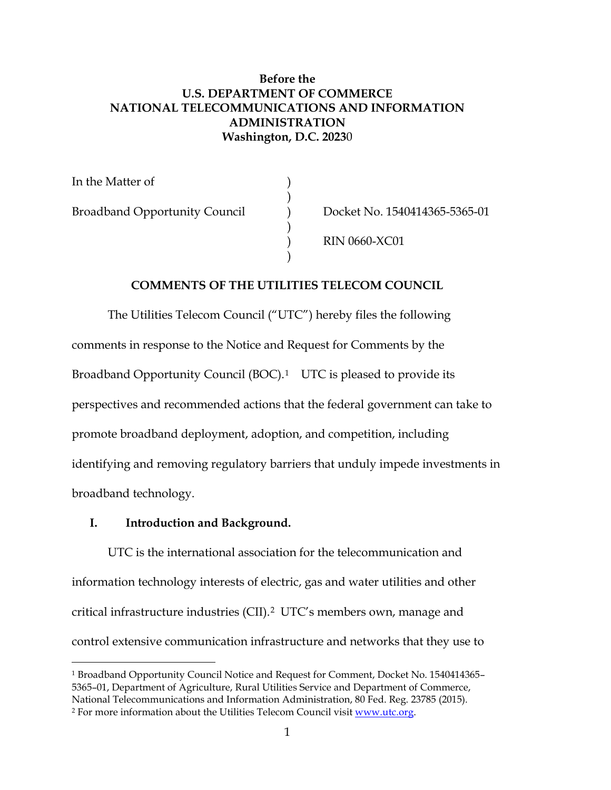## **Before the U.S. DEPARTMENT OF COMMERCE NATIONAL TELECOMMUNICATIONS AND INFORMATION ADMINISTRATION Washington, D.C. 2023**0

)

)

)

In the Matter of ) Broadband Opportunity Council (b) Docket No. 1540414365-5365-01

) RIN 0660-XC01

## **COMMENTS OF THE UTILITIES TELECOM COUNCIL**

The Utilities Telecom Council ("UTC") hereby files the following comments in response to the Notice and Request for Comments by the Broadband Opportunity Council (BOC).<sup>1</sup> UTC is pleased to provide its perspectives and recommended actions that the federal government can take to promote broadband deployment, adoption, and competition, including identifying and removing regulatory barriers that unduly impede investments in broadband technology.

### **I. Introduction and Background.**

UTC is the international association for the telecommunication and information technology interests of electric, gas and water utilities and other critical infrastructure industries (CII).[2](#page-0-1) UTC's members own, manage and control extensive communication infrastructure and networks that they use to

<span id="page-0-0"></span> <sup>1</sup> Broadband Opportunity Council Notice and Request for Comment, Docket No. 1540414365– 5365–01, Department of Agriculture, Rural Utilities Service and Department of Commerce, National Telecommunications and Information Administration, 80 Fed. Reg. 23785 (2015).

<span id="page-0-1"></span><sup>2</sup> For more information about the Utilities Telecom Council visit [www.utc.org.](http://www.utc.org/)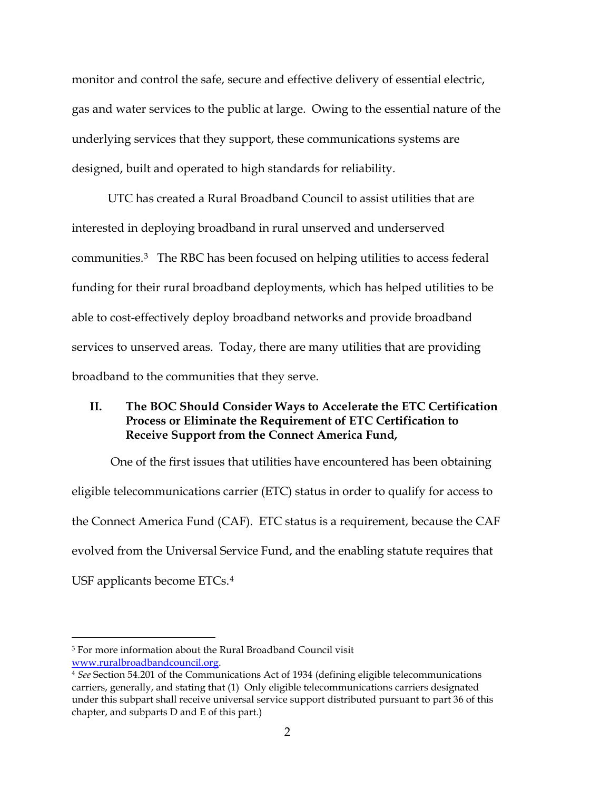monitor and control the safe, secure and effective delivery of essential electric, gas and water services to the public at large. Owing to the essential nature of the underlying services that they support, these communications systems are designed, built and operated to high standards for reliability.

UTC has created a Rural Broadband Council to assist utilities that are interested in deploying broadband in rural unserved and underserved communities.[3](#page-1-0) The RBC has been focused on helping utilities to access federal funding for their rural broadband deployments, which has helped utilities to be able to cost-effectively deploy broadband networks and provide broadband services to unserved areas. Today, there are many utilities that are providing broadband to the communities that they serve.

# **II. The BOC Should Consider Ways to Accelerate the ETC Certification Process or Eliminate the Requirement of ETC Certification to Receive Support from the Connect America Fund,**

One of the first issues that utilities have encountered has been obtaining eligible telecommunications carrier (ETC) status in order to qualify for access to the Connect America Fund (CAF). ETC status is a requirement, because the CAF evolved from the Universal Service Fund, and the enabling statute requires that USF applicants become ETCs.[4](#page-1-1)

<span id="page-1-0"></span> <sup>3</sup> For more information about the Rural Broadband Council visit

<span id="page-1-1"></span>[www.ruralbroadbandcouncil.org.](http://www.ruralbroadbandcouncil.org/) 4 *See* Section 54.201 of the Communications Act of 1934 (defining eligible telecommunications carriers, generally, and stating that (1) Only eligible telecommunications carriers designated under this subpart shall receive universal service support distributed pursuant to part 36 of this chapter, and subparts D and E of this part.)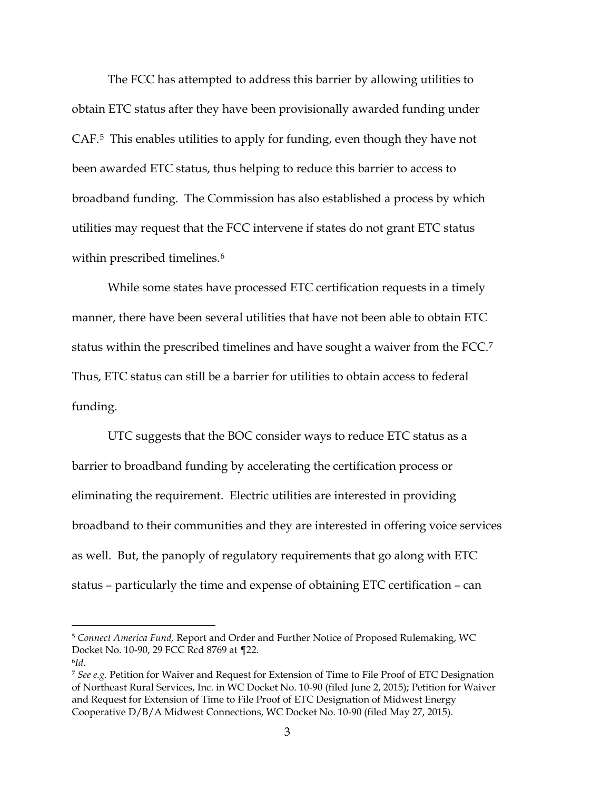The FCC has attempted to address this barrier by allowing utilities to obtain ETC status after they have been provisionally awarded funding under CAF.[5](#page-2-0) This enables utilities to apply for funding, even though they have not been awarded ETC status, thus helping to reduce this barrier to access to broadband funding. The Commission has also established a process by which utilities may request that the FCC intervene if states do not grant ETC status within prescribed timelines.<sup>[6](#page-2-1)</sup>

While some states have processed ETC certification requests in a timely manner, there have been several utilities that have not been able to obtain ETC status within the prescribed timelines and have sought a waiver from the FCC.[7](#page-2-2) Thus, ETC status can still be a barrier for utilities to obtain access to federal funding.

UTC suggests that the BOC consider ways to reduce ETC status as a barrier to broadband funding by accelerating the certification process or eliminating the requirement. Electric utilities are interested in providing broadband to their communities and they are interested in offering voice services as well. But, the panoply of regulatory requirements that go along with ETC status – particularly the time and expense of obtaining ETC certification – can

<span id="page-2-0"></span> <sup>5</sup> *Connect America Fund,* Report and Order and Further Notice of Proposed Rulemaking, WC Docket No. 10-90, 29 FCC Rcd 8769 at ¶22.

<span id="page-2-1"></span><sup>6</sup>*Id*.

<span id="page-2-2"></span><sup>7</sup> *See e.g.* Petition for Waiver and Request for Extension of Time to File Proof of ETC Designation of Northeast Rural Services, Inc. in WC Docket No. 10-90 (filed June 2, 2015); Petition for Waiver and Request for Extension of Time to File Proof of ETC Designation of Midwest Energy Cooperative D/B/A Midwest Connections, WC Docket No. 10-90 (filed May 27, 2015).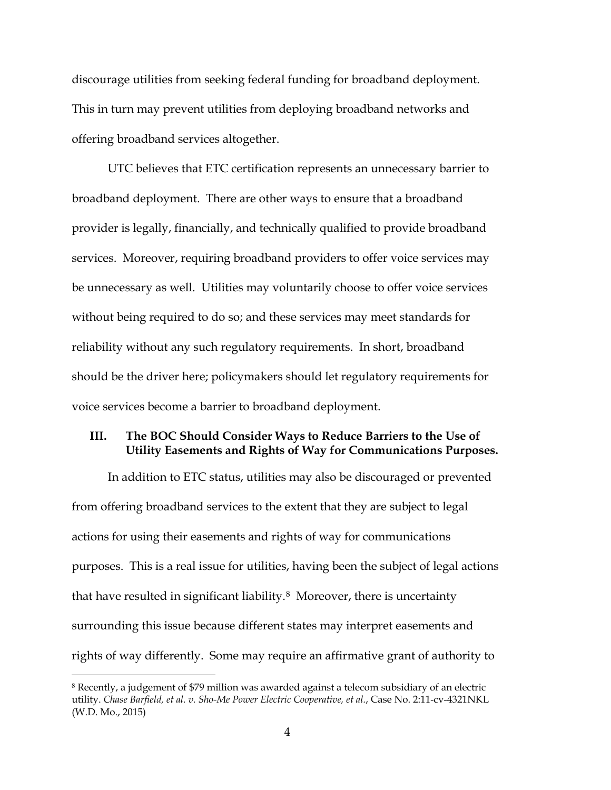discourage utilities from seeking federal funding for broadband deployment. This in turn may prevent utilities from deploying broadband networks and offering broadband services altogether.

UTC believes that ETC certification represents an unnecessary barrier to broadband deployment. There are other ways to ensure that a broadband provider is legally, financially, and technically qualified to provide broadband services. Moreover, requiring broadband providers to offer voice services may be unnecessary as well. Utilities may voluntarily choose to offer voice services without being required to do so; and these services may meet standards for reliability without any such regulatory requirements. In short, broadband should be the driver here; policymakers should let regulatory requirements for voice services become a barrier to broadband deployment.

## **III. The BOC Should Consider Ways to Reduce Barriers to the Use of Utility Easements and Rights of Way for Communications Purposes.**

In addition to ETC status, utilities may also be discouraged or prevented from offering broadband services to the extent that they are subject to legal actions for using their easements and rights of way for communications purposes. This is a real issue for utilities, having been the subject of legal actions that have resulted in significant liability.<sup>8</sup> Moreover, there is uncertainty surrounding this issue because different states may interpret easements and rights of way differently. Some may require an affirmative grant of authority to

<span id="page-3-0"></span> <sup>8</sup> Recently, a judgement of \$79 million was awarded against a telecom subsidiary of an electric utility. *Chase Barfield, et al. v. Sho-Me Power Electric Cooperative, et al.*, Case No. 2:11-cv-4321NKL (W.D. Mo., 2015)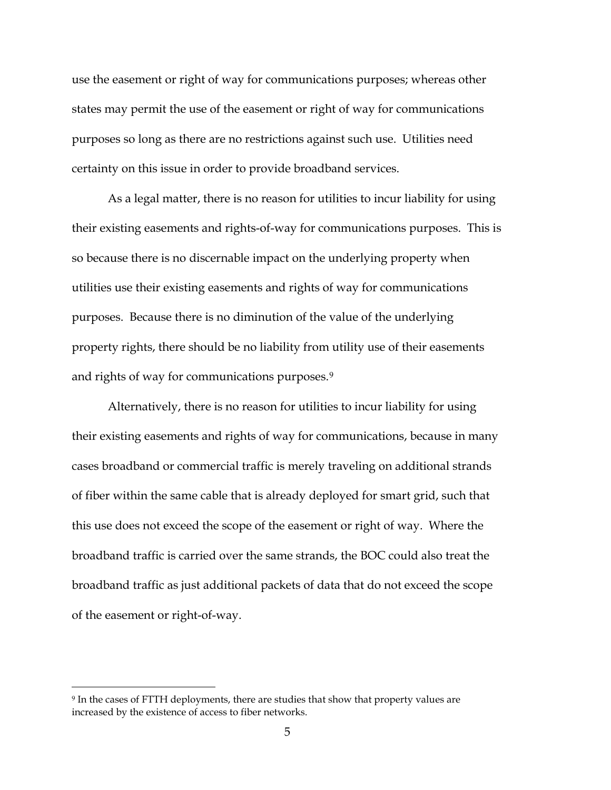use the easement or right of way for communications purposes; whereas other states may permit the use of the easement or right of way for communications purposes so long as there are no restrictions against such use. Utilities need certainty on this issue in order to provide broadband services.

As a legal matter, there is no reason for utilities to incur liability for using their existing easements and rights-of-way for communications purposes. This is so because there is no discernable impact on the underlying property when utilities use their existing easements and rights of way for communications purposes. Because there is no diminution of the value of the underlying property rights, there should be no liability from utility use of their easements and rights of way for communications purposes.<sup>[9](#page-4-0)</sup>

Alternatively, there is no reason for utilities to incur liability for using their existing easements and rights of way for communications, because in many cases broadband or commercial traffic is merely traveling on additional strands of fiber within the same cable that is already deployed for smart grid, such that this use does not exceed the scope of the easement or right of way. Where the broadband traffic is carried over the same strands, the BOC could also treat the broadband traffic as just additional packets of data that do not exceed the scope of the easement or right-of-way.

<span id="page-4-0"></span> <sup>9</sup> In the cases of FTTH deployments, there are studies that show that property values are increased by the existence of access to fiber networks.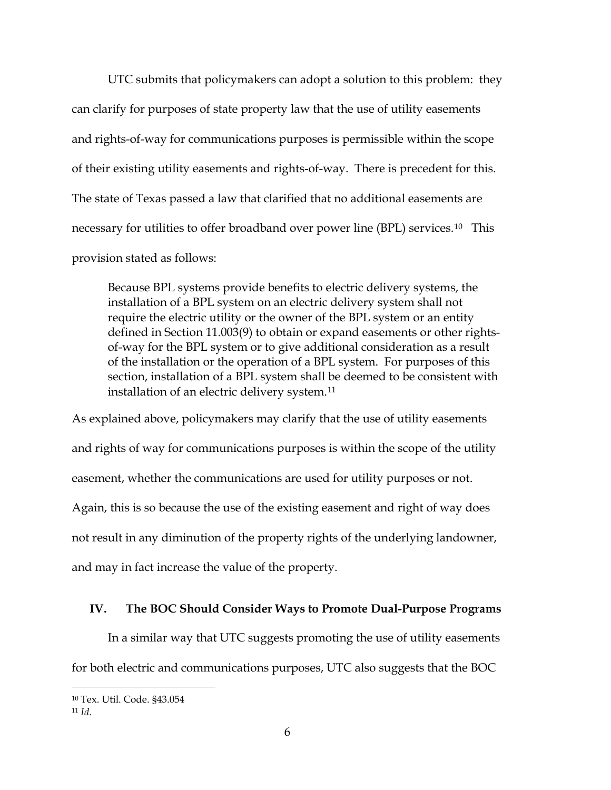UTC submits that policymakers can adopt a solution to this problem: they can clarify for purposes of state property law that the use of utility easements and rights-of-way for communications purposes is permissible within the scope of their existing utility easements and rights-of-way. There is precedent for this. The state of Texas passed a law that clarified that no additional easements are necessary for utilities to offer broadband over power line (BPL) services.[10](#page-5-0) This provision stated as follows:

Because BPL systems provide benefits to electric delivery systems, the installation of a BPL system on an electric delivery system shall not require the electric utility or the owner of the BPL system or an entity defined in Section 11.003(9) to obtain or expand easements or other rightsof-way for the BPL system or to give additional consideration as a result of the installation or the operation of a BPL system. For purposes of this section, installation of a BPL system shall be deemed to be consistent with installation of an electric delivery system.<sup>[11](#page-5-1)</sup>

As explained above, policymakers may clarify that the use of utility easements and rights of way for communications purposes is within the scope of the utility easement, whether the communications are used for utility purposes or not. Again, this is so because the use of the existing easement and right of way does not result in any diminution of the property rights of the underlying landowner, and may in fact increase the value of the property.

### **IV. The BOC Should Consider Ways to Promote Dual-Purpose Programs**

In a similar way that UTC suggests promoting the use of utility easements for both electric and communications purposes, UTC also suggests that the BOC

<span id="page-5-0"></span> <sup>10</sup> Tex. Util. Code. §43.054

<span id="page-5-1"></span><sup>11</sup> *Id*.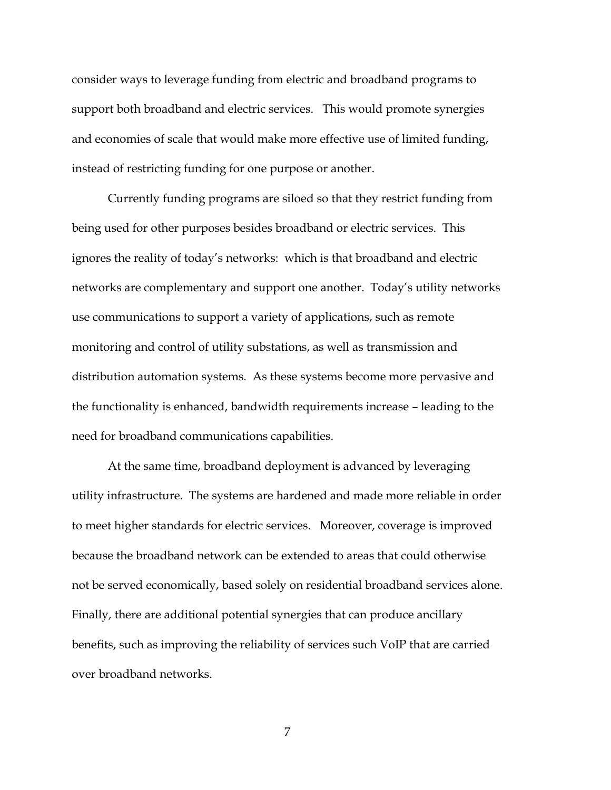consider ways to leverage funding from electric and broadband programs to support both broadband and electric services. This would promote synergies and economies of scale that would make more effective use of limited funding, instead of restricting funding for one purpose or another.

Currently funding programs are siloed so that they restrict funding from being used for other purposes besides broadband or electric services. This ignores the reality of today's networks: which is that broadband and electric networks are complementary and support one another. Today's utility networks use communications to support a variety of applications, such as remote monitoring and control of utility substations, as well as transmission and distribution automation systems. As these systems become more pervasive and the functionality is enhanced, bandwidth requirements increase – leading to the need for broadband communications capabilities.

At the same time, broadband deployment is advanced by leveraging utility infrastructure. The systems are hardened and made more reliable in order to meet higher standards for electric services. Moreover, coverage is improved because the broadband network can be extended to areas that could otherwise not be served economically, based solely on residential broadband services alone. Finally, there are additional potential synergies that can produce ancillary benefits, such as improving the reliability of services such VoIP that are carried over broadband networks.

7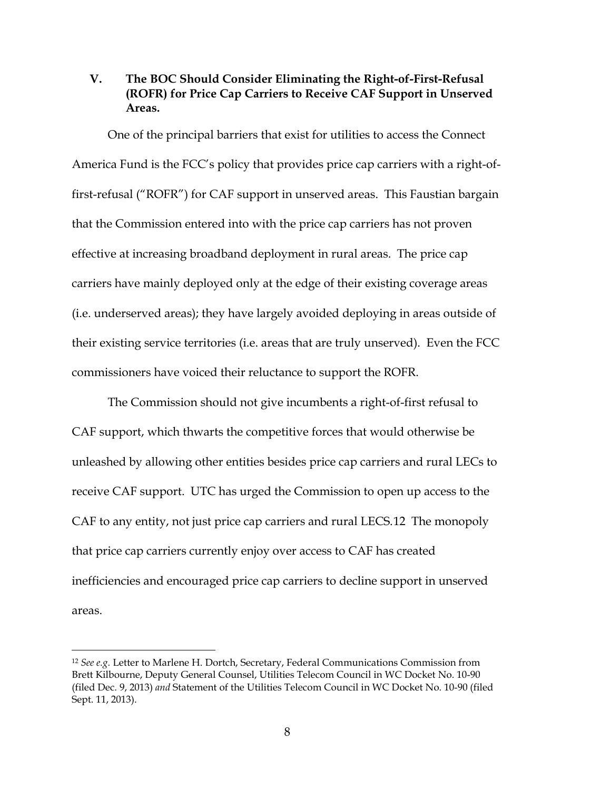# **V. The BOC Should Consider Eliminating the Right-of-First-Refusal (ROFR) for Price Cap Carriers to Receive CAF Support in Unserved Areas.**

One of the principal barriers that exist for utilities to access the Connect America Fund is the FCC's policy that provides price cap carriers with a right-offirst-refusal ("ROFR") for CAF support in unserved areas. This Faustian bargain that the Commission entered into with the price cap carriers has not proven effective at increasing broadband deployment in rural areas. The price cap carriers have mainly deployed only at the edge of their existing coverage areas (i.e. underserved areas); they have largely avoided deploying in areas outside of their existing service territories (i.e. areas that are truly unserved). Even the FCC commissioners have voiced their reluctance to support the ROFR.

The Commission should not give incumbents a right-of-first refusal to CAF support, which thwarts the competitive forces that would otherwise be unleashed by allowing other entities besides price cap carriers and rural LECs to receive CAF support. UTC has urged the Commission to open up access to the CAF to any entity, not just price cap carriers and rural LECS.[12](#page-7-0) The monopoly that price cap carriers currently enjoy over access to CAF has created inefficiencies and encouraged price cap carriers to decline support in unserved areas.

<span id="page-7-0"></span> <sup>12</sup> *See e.g.* Letter to Marlene H. Dortch, Secretary, Federal Communications Commission from Brett Kilbourne, Deputy General Counsel, Utilities Telecom Council in WC Docket No. 10-90 (filed Dec. 9, 2013) *and* Statement of the Utilities Telecom Council in WC Docket No. 10-90 (filed Sept. 11, 2013).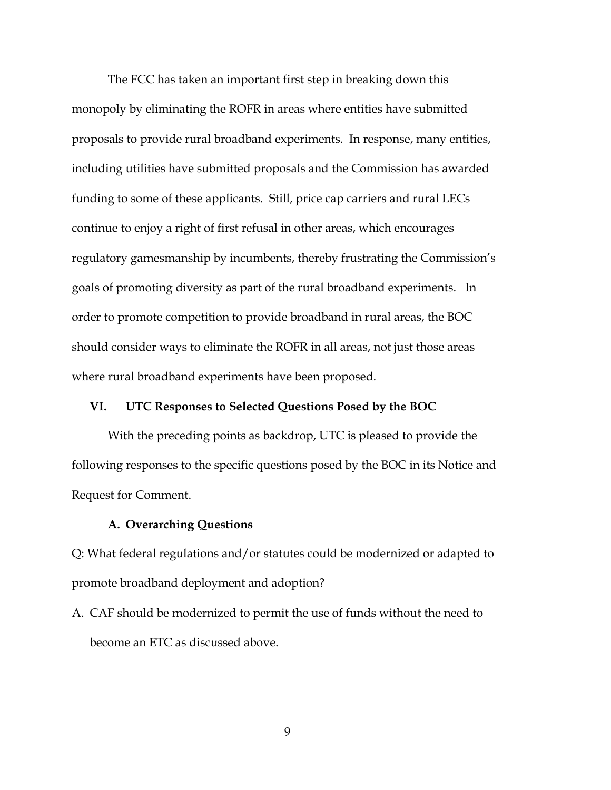The FCC has taken an important first step in breaking down this monopoly by eliminating the ROFR in areas where entities have submitted proposals to provide rural broadband experiments. In response, many entities, including utilities have submitted proposals and the Commission has awarded funding to some of these applicants. Still, price cap carriers and rural LECs continue to enjoy a right of first refusal in other areas, which encourages regulatory gamesmanship by incumbents, thereby frustrating the Commission's goals of promoting diversity as part of the rural broadband experiments. In order to promote competition to provide broadband in rural areas, the BOC should consider ways to eliminate the ROFR in all areas, not just those areas where rural broadband experiments have been proposed.

#### **VI. UTC Responses to Selected Questions Posed by the BOC**

With the preceding points as backdrop, UTC is pleased to provide the following responses to the specific questions posed by the BOC in its Notice and Request for Comment.

#### **A. Overarching Questions**

Q: What federal regulations and/or statutes could be modernized or adapted to promote broadband deployment and adoption?

A. CAF should be modernized to permit the use of funds without the need to become an ETC as discussed above.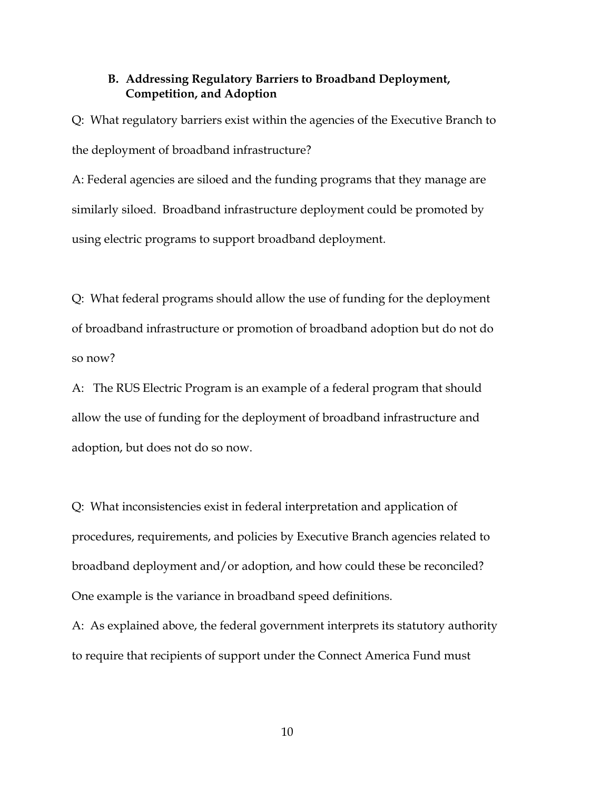### **B. Addressing Regulatory Barriers to Broadband Deployment, Competition, and Adoption**

Q: What regulatory barriers exist within the agencies of the Executive Branch to the deployment of broadband infrastructure?

A: Federal agencies are siloed and the funding programs that they manage are similarly siloed. Broadband infrastructure deployment could be promoted by using electric programs to support broadband deployment.

Q: What federal programs should allow the use of funding for the deployment of broadband infrastructure or promotion of broadband adoption but do not do so now?

A: The RUS Electric Program is an example of a federal program that should allow the use of funding for the deployment of broadband infrastructure and adoption, but does not do so now.

Q: What inconsistencies exist in federal interpretation and application of procedures, requirements, and policies by Executive Branch agencies related to broadband deployment and/or adoption, and how could these be reconciled? One example is the variance in broadband speed definitions.

A: As explained above, the federal government interprets its statutory authority to require that recipients of support under the Connect America Fund must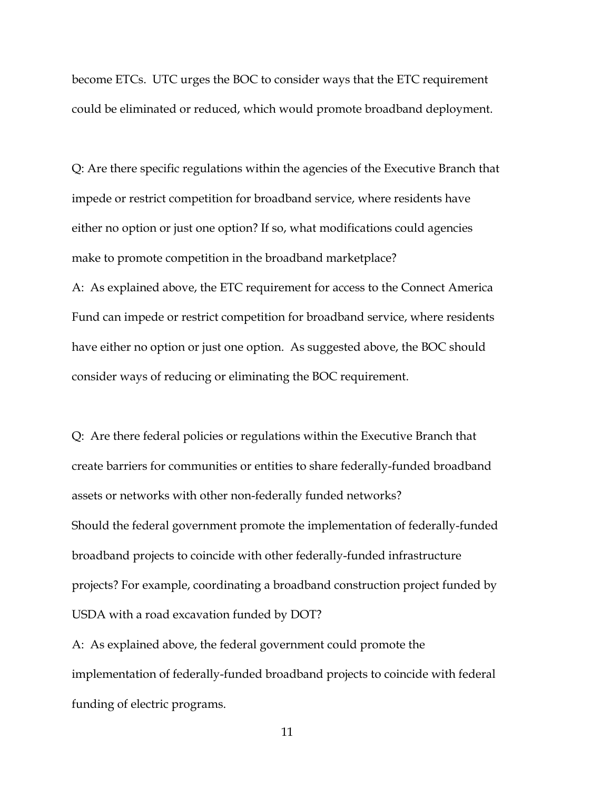become ETCs. UTC urges the BOC to consider ways that the ETC requirement could be eliminated or reduced, which would promote broadband deployment.

Q: Are there specific regulations within the agencies of the Executive Branch that impede or restrict competition for broadband service, where residents have either no option or just one option? If so, what modifications could agencies make to promote competition in the broadband marketplace? A: As explained above, the ETC requirement for access to the Connect America Fund can impede or restrict competition for broadband service, where residents have either no option or just one option. As suggested above, the BOC should consider ways of reducing or eliminating the BOC requirement.

Q: Are there federal policies or regulations within the Executive Branch that create barriers for communities or entities to share federally-funded broadband assets or networks with other non-federally funded networks? Should the federal government promote the implementation of federally-funded broadband projects to coincide with other federally-funded infrastructure projects? For example, coordinating a broadband construction project funded by USDA with a road excavation funded by DOT?

A: As explained above, the federal government could promote the implementation of federally-funded broadband projects to coincide with federal funding of electric programs.

11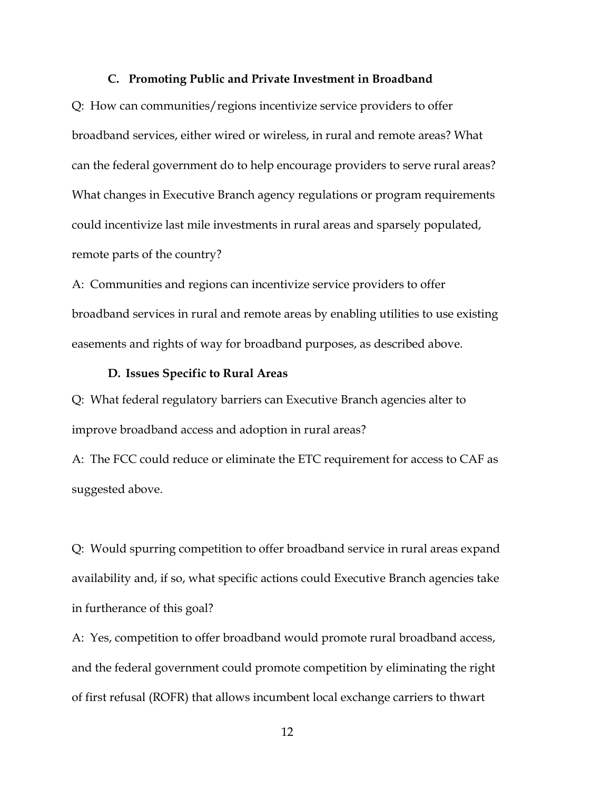#### **C. Promoting Public and Private Investment in Broadband**

Q: How can communities/regions incentivize service providers to offer broadband services, either wired or wireless, in rural and remote areas? What can the federal government do to help encourage providers to serve rural areas? What changes in Executive Branch agency regulations or program requirements could incentivize last mile investments in rural areas and sparsely populated, remote parts of the country?

A: Communities and regions can incentivize service providers to offer broadband services in rural and remote areas by enabling utilities to use existing easements and rights of way for broadband purposes, as described above.

### **D. Issues Specific to Rural Areas**

Q: What federal regulatory barriers can Executive Branch agencies alter to improve broadband access and adoption in rural areas?

A: The FCC could reduce or eliminate the ETC requirement for access to CAF as suggested above.

Q: Would spurring competition to offer broadband service in rural areas expand availability and, if so, what specific actions could Executive Branch agencies take in furtherance of this goal?

A: Yes, competition to offer broadband would promote rural broadband access, and the federal government could promote competition by eliminating the right of first refusal (ROFR) that allows incumbent local exchange carriers to thwart

12